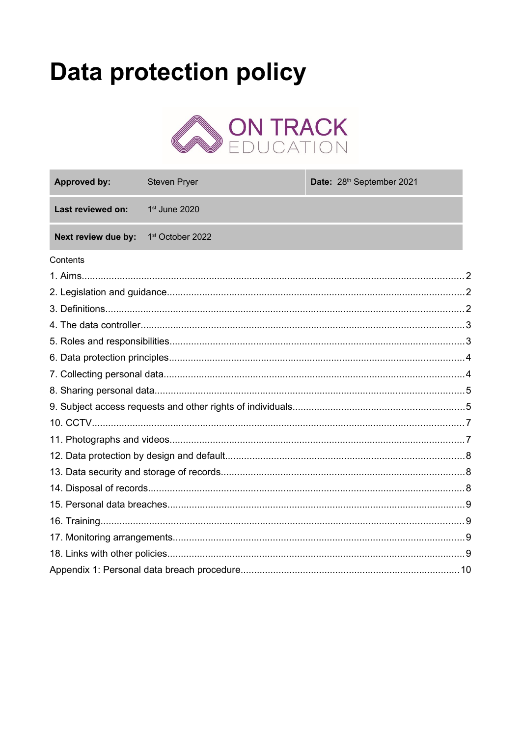# **Data protection policy**



<span id="page-0-0"></span>

| <b>Approved by:</b> | <b>Steven Pryer</b> | Date: 28 <sup>th</sup> September 2021 |  |
|---------------------|---------------------|---------------------------------------|--|
| Last reviewed on:   | 1st June 2020       |                                       |  |
| Next review due by: | 1st October 2022    |                                       |  |
| Contents            |                     |                                       |  |
|                     |                     |                                       |  |
|                     |                     |                                       |  |
|                     |                     |                                       |  |
|                     |                     |                                       |  |
|                     |                     |                                       |  |
|                     |                     |                                       |  |
|                     |                     |                                       |  |
|                     |                     |                                       |  |
|                     |                     |                                       |  |
|                     |                     |                                       |  |
|                     |                     |                                       |  |
|                     |                     |                                       |  |
|                     |                     |                                       |  |
|                     |                     |                                       |  |
|                     |                     |                                       |  |
|                     |                     |                                       |  |
|                     |                     |                                       |  |
|                     |                     |                                       |  |
|                     |                     |                                       |  |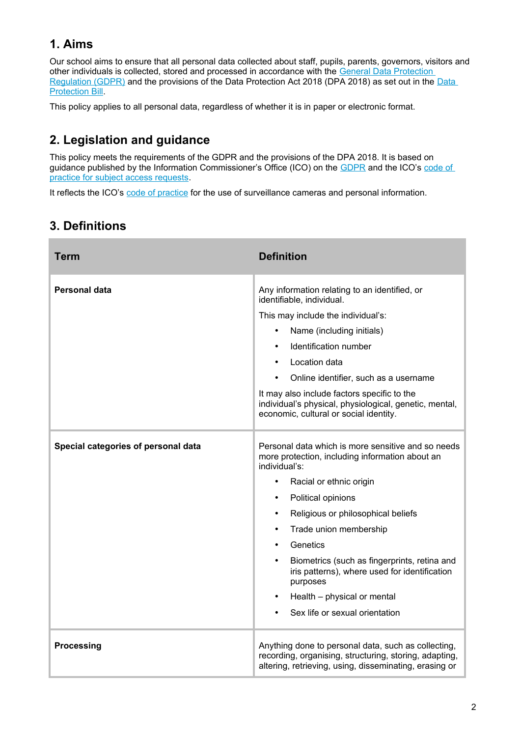# **1. Aims**

Our school aims to ensure that all personal data collected about staff, pupils, parents, governors, visitors and other individuals is collected, stored and processed in accordance with the [General Data Protection](http://data.consilium.europa.eu/doc/document/ST-5419-2016-INIT/en/pdf)  [Regulation \(GDPR\)](http://data.consilium.europa.eu/doc/document/ST-5419-2016-INIT/en/pdf) and the provisions of the [Data](https://publications.parliament.uk/pa/bills/cbill/2017-2019/0153/18153.pdf) Protection Act 2018 (DPA 2018) as set out in the Data [Protection Bill](https://publications.parliament.uk/pa/bills/cbill/2017-2019/0153/18153.pdf).

This policy applies to all personal data, regardless of whether it is in paper or electronic format.

# <span id="page-1-1"></span>**2. Legislation and guidance**

This policy meets the requirements of the GDPR and the provisions of the DPA 2018. It is based on guidance published by the Information Commissioner's Office (ICO) on the [GDPR](https://ico.org.uk/for-organisations/guide-to-the-general-data-protection-regulation-gdpr/) and the ICO's code of [practice for subject access requests.](https://ico.org.uk/media/about-the-ico/consultations/2050/subject-access-code-of-practice-consultation-summary.pdf)

It reflects the ICO's [code of practice](https://ico.org.uk/media/for-organisations/documents/1542/cctv-code-of-practice.pdf) for the use of surveillance cameras and personal information.

# <span id="page-1-0"></span>**3. Definitions**

| <b>Term</b>                         | <b>Definition</b>                                                                                                                                                                                                                                                                                                                                                                                                                 |
|-------------------------------------|-----------------------------------------------------------------------------------------------------------------------------------------------------------------------------------------------------------------------------------------------------------------------------------------------------------------------------------------------------------------------------------------------------------------------------------|
| <b>Personal data</b>                | Any information relating to an identified, or<br>identifiable, individual.<br>This may include the individual's:<br>Name (including initials)<br>$\bullet$<br>Identification number<br>Location data<br>$\bullet$<br>Online identifier, such as a username<br>It may also include factors specific to the<br>individual's physical, physiological, genetic, mental,<br>economic, cultural or social identity.                     |
| Special categories of personal data | Personal data which is more sensitive and so needs<br>more protection, including information about an<br>individual's:<br>Racial or ethnic origin<br>$\bullet$<br>Political opinions<br>$\bullet$<br>Religious or philosophical beliefs<br>$\bullet$<br>Trade union membership<br>$\bullet$<br>Genetics<br>$\bullet$<br>Biometrics (such as fingerprints, retina and<br>iris patterns), where used for identification<br>purposes |
|                                     | Health - physical or mental<br>Sex life or sexual orientation                                                                                                                                                                                                                                                                                                                                                                     |
| <b>Processing</b>                   | Anything done to personal data, such as collecting,<br>recording, organising, structuring, storing, adapting,<br>altering, retrieving, using, disseminating, erasing or                                                                                                                                                                                                                                                           |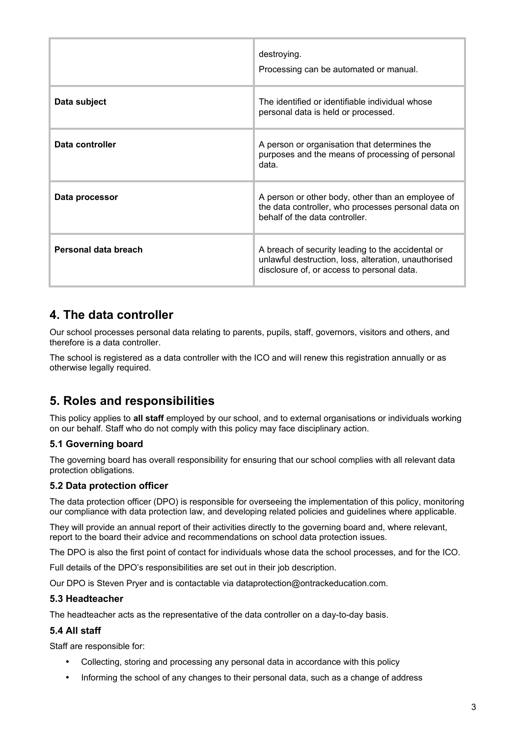|                      | destroying.<br>Processing can be automated or manual.                                                                                                   |
|----------------------|---------------------------------------------------------------------------------------------------------------------------------------------------------|
| Data subject         | The identified or identifiable individual whose<br>personal data is held or processed.                                                                  |
| Data controller      | A person or organisation that determines the<br>purposes and the means of processing of personal<br>data.                                               |
| Data processor       | A person or other body, other than an employee of<br>the data controller, who processes personal data on<br>behalf of the data controller.              |
| Personal data breach | A breach of security leading to the accidental or<br>unlawful destruction, loss, alteration, unauthorised<br>disclosure of, or access to personal data. |

### <span id="page-2-1"></span>**4. The data controller**

Our school processes personal data relating to parents, pupils, staff, governors, visitors and others, and therefore is a data controller.

The school is registered as a data controller with the ICO and will renew this registration annually or as otherwise legally required.

## <span id="page-2-0"></span>**5. Roles and responsibilities**

This policy applies to **all staff** employed by our school, and to external organisations or individuals working on our behalf. Staff who do not comply with this policy may face disciplinary action.

#### **5.1 Governing board**

The governing board has overall responsibility for ensuring that our school complies with all relevant data protection obligations.

#### **5.2 Data protection officer**

The data protection officer (DPO) is responsible for overseeing the implementation of this policy, monitoring our compliance with data protection law, and developing related policies and guidelines where applicable.

They will provide an annual report of their activities directly to the governing board and, where relevant, report to the board their advice and recommendations on school data protection issues.

The DPO is also the first point of contact for individuals whose data the school processes, and for the ICO.

Full details of the DPO's responsibilities are set out in their job description.

Our DPO is Steven Pryer and is contactable via dataprotection@ontrackeducation.com.

#### **5.3 Headteacher**

The headteacher acts as the representative of the data controller on a day-to-day basis.

#### **5.4 All staff**

Staff are responsible for:

- Collecting, storing and processing any personal data in accordance with this policy
- Informing the school of any changes to their personal data, such as a change of address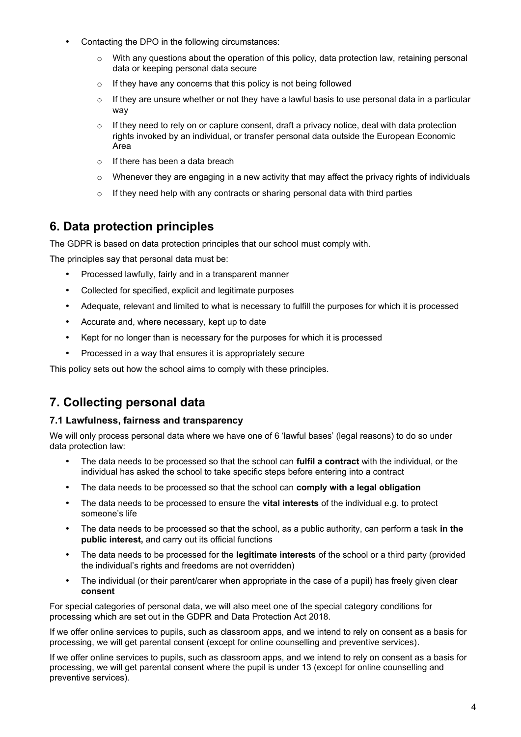- Contacting the DPO in the following circumstances:
	- $\circ$  With any questions about the operation of this policy, data protection law, retaining personal data or keeping personal data secure
	- $\circ$  If they have any concerns that this policy is not being followed
	- $\circ$  If they are unsure whether or not they have a lawful basis to use personal data in a particular way
	- $\circ$  If they need to rely on or capture consent, draft a privacy notice, deal with data protection rights invoked by an individual, or transfer personal data outside the European Economic Area
	- $\circ$  If there has been a data breach
	- o Whenever they are engaging in a new activity that may affect the privacy rights of individuals
	- $\circ$  If they need help with any contracts or sharing personal data with third parties

## <span id="page-3-1"></span>**6. Data protection principles**

The GDPR is based on data protection principles that our school must comply with.

The principles say that personal data must be:

- Processed lawfully, fairly and in a transparent manner
- Collected for specified, explicit and legitimate purposes
- Adequate, relevant and limited to what is necessary to fulfill the purposes for which it is processed
- Accurate and, where necessary, kept up to date
- Kept for no longer than is necessary for the purposes for which it is processed
- Processed in a way that ensures it is appropriately secure

This policy sets out how the school aims to comply with these principles.

# <span id="page-3-0"></span>**7. Collecting personal data**

#### **7.1 Lawfulness, fairness and transparency**

We will only process personal data where we have one of 6 'lawful bases' (legal reasons) to do so under data protection law:

- The data needs to be processed so that the school can **fulfil a contract** with the individual, or the individual has asked the school to take specific steps before entering into a contract
- The data needs to be processed so that the school can **comply with a legal obligation**
- The data needs to be processed to ensure the **vital interests** of the individual e.g. to protect someone's life
- The data needs to be processed so that the school, as a public authority, can perform a task **in the public interest,** and carry out its official functions
- The data needs to be processed for the **legitimate interests** of the school or a third party (provided the individual's rights and freedoms are not overridden)
- The individual (or their parent/carer when appropriate in the case of a pupil) has freely given clear **consent**

For special categories of personal data, we will also meet one of the special category conditions for processing which are set out in the GDPR and Data Protection Act 2018.

If we offer online services to pupils, such as classroom apps, and we intend to rely on consent as a basis for processing, we will get parental consent (except for online counselling and preventive services).

If we offer online services to pupils, such as classroom apps, and we intend to rely on consent as a basis for processing, we will get parental consent where the pupil is under 13 (except for online counselling and preventive services).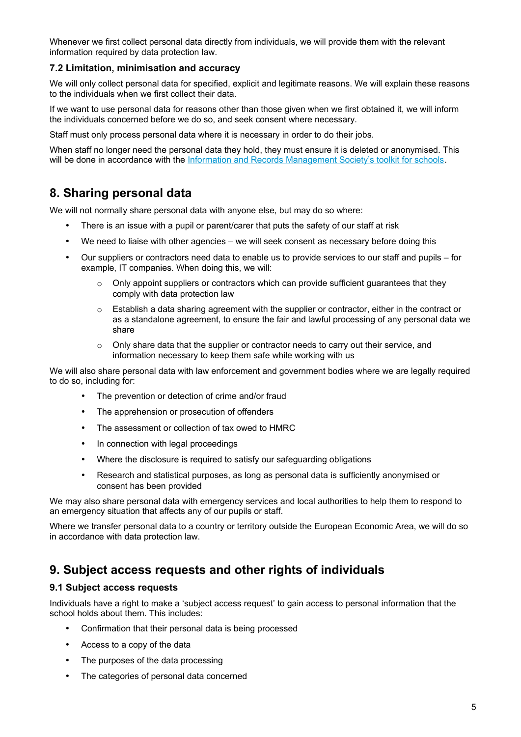Whenever we first collect personal data directly from individuals, we will provide them with the relevant information required by data protection law.

#### **7.2 Limitation, minimisation and accuracy**

We will only collect personal data for specified, explicit and legitimate reasons. We will explain these reasons to the individuals when we first collect their data.

If we want to use personal data for reasons other than those given when we first obtained it, we will inform the individuals concerned before we do so, and seek consent where necessary.

Staff must only process personal data where it is necessary in order to do their jobs.

When staff no longer need the personal data they hold, they must ensure it is deleted or anonymised. This will be done in accordance with the [Information and Records Management Society's toolkit for schools](http://irms.org.uk/?page=schoolstoolkit&terms=).

### <span id="page-4-1"></span>**8. Sharing personal data**

We will not normally share personal data with anyone else, but may do so where:

- There is an issue with a pupil or parent/carer that puts the safety of our staff at risk
- We need to liaise with other agencies we will seek consent as necessary before doing this
- Our suppliers or contractors need data to enable us to provide services to our staff and pupils for example, IT companies. When doing this, we will:
	- $\circ$  Only appoint suppliers or contractors which can provide sufficient quarantees that they comply with data protection law
	- $\circ$  Establish a data sharing agreement with the supplier or contractor, either in the contract or as a standalone agreement, to ensure the fair and lawful processing of any personal data we share
	- $\circ$  Only share data that the supplier or contractor needs to carry out their service, and information necessary to keep them safe while working with us

We will also share personal data with law enforcement and government bodies where we are legally required to do so, including for:

- The prevention or detection of crime and/or fraud
- The apprehension or prosecution of offenders
- The assessment or collection of tax owed to HMRC
- In connection with legal proceedings
- Where the disclosure is required to satisfy our safeguarding obligations
- Research and statistical purposes, as long as personal data is sufficiently anonymised or consent has been provided

We may also share personal data with emergency services and local authorities to help them to respond to an emergency situation that affects any of our pupils or staff.

Where we transfer personal data to a country or territory outside the European Economic Area, we will do so in accordance with data protection law.

### <span id="page-4-0"></span>**9. Subject access requests and other rights of individuals**

#### **9.1 Subject access requests**

Individuals have a right to make a 'subject access request' to gain access to personal information that the school holds about them. This includes:

- Confirmation that their personal data is being processed
- Access to a copy of the data
- The purposes of the data processing
- The categories of personal data concerned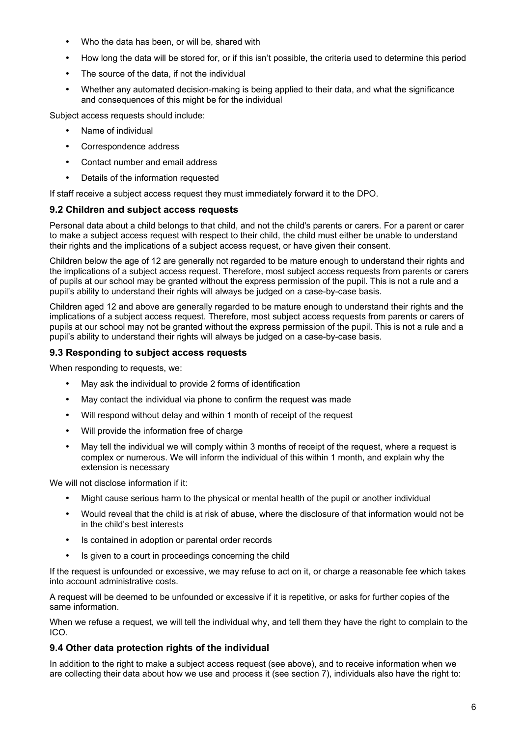- Who the data has been, or will be, shared with
- How long the data will be stored for, or if this isn't possible, the criteria used to determine this period
- The source of the data, if not the individual
- Whether any automated decision-making is being applied to their data, and what the significance and consequences of this might be for the individual

Subject access requests should include:

- Name of individual
- Correspondence address
- Contact number and email address
- Details of the information requested

If staff receive a subject access request they must immediately forward it to the DPO.

#### **9.2 Children and subject access requests**

Personal data about a child belongs to that child, and not the child's parents or carers. For a parent or carer to make a subject access request with respect to their child, the child must either be unable to understand their rights and the implications of a subject access request, or have given their consent.

Children below the age of 12 are generally not regarded to be mature enough to understand their rights and the implications of a subject access request. Therefore, most subject access requests from parents or carers of pupils at our school may be granted without the express permission of the pupil. This is not a rule and a pupil's ability to understand their rights will always be judged on a case-by-case basis.

Children aged 12 and above are generally regarded to be mature enough to understand their rights and the implications of a subject access request. Therefore, most subject access requests from parents or carers of pupils at our school may not be granted without the express permission of the pupil. This is not a rule and a pupil's ability to understand their rights will always be judged on a case-by-case basis.

#### **9.3 Responding to subject access requests**

When responding to requests, we:

- May ask the individual to provide 2 forms of identification
- May contact the individual via phone to confirm the request was made
- Will respond without delay and within 1 month of receipt of the request
- Will provide the information free of charge
- May tell the individual we will comply within 3 months of receipt of the request, where a request is complex or numerous. We will inform the individual of this within 1 month, and explain why the extension is necessary

We will not disclose information if it:

- Might cause serious harm to the physical or mental health of the pupil or another individual
- Would reveal that the child is at risk of abuse, where the disclosure of that information would not be in the child's best interests
- Is contained in adoption or parental order records
- Is given to a court in proceedings concerning the child

If the request is unfounded or excessive, we may refuse to act on it, or charge a reasonable fee which takes into account administrative costs.

A request will be deemed to be unfounded or excessive if it is repetitive, or asks for further copies of the same information.

When we refuse a request, we will tell the individual why, and tell them they have the right to complain to the ICO.

#### **9.4 Other data protection rights of the individual**

In addition to the right to make a subject access request (see above), and to receive information when we are collecting their data about how we use and process it (see section 7), individuals also have the right to: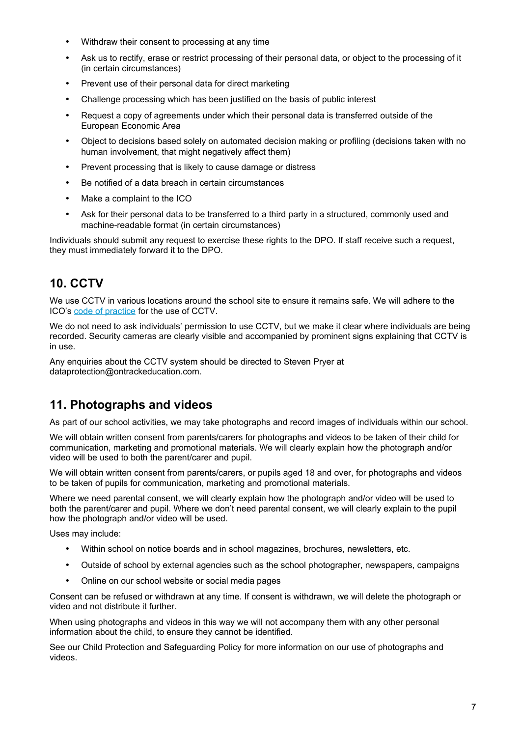- Withdraw their consent to processing at any time
- Ask us to rectify, erase or restrict processing of their personal data, or object to the processing of it (in certain circumstances)
- Prevent use of their personal data for direct marketing
- Challenge processing which has been justified on the basis of public interest
- Request a copy of agreements under which their personal data is transferred outside of the European Economic Area
- Object to decisions based solely on automated decision making or profiling (decisions taken with no human involvement, that might negatively affect them)
- Prevent processing that is likely to cause damage or distress
- Be notified of a data breach in certain circumstances
- Make a complaint to the ICO
- Ask for their personal data to be transferred to a third party in a structured, commonly used and machine-readable format (in certain circumstances)

Individuals should submit any request to exercise these rights to the DPO. If staff receive such a request, they must immediately forward it to the DPO.

## <span id="page-6-1"></span>**10. CCTV**

We use CCTV in various locations around the school site to ensure it remains safe. We will adhere to the ICO's [code of practice](https://ico.org.uk/media/for-organisations/documents/1542/cctv-code-of-practice.pdf) for the use of CCTV.

We do not need to ask individuals' permission to use CCTV, but we make it clear where individuals are being recorded. Security cameras are clearly visible and accompanied by prominent signs explaining that CCTV is in use.

Any enquiries about the CCTV system should be directed to Steven Pryer at dataprotection@ontrackeducation.com.

## <span id="page-6-0"></span>**11. Photographs and videos**

As part of our school activities, we may take photographs and record images of individuals within our school.

We will obtain written consent from parents/carers for photographs and videos to be taken of their child for communication, marketing and promotional materials. We will clearly explain how the photograph and/or video will be used to both the parent/carer and pupil.

We will obtain written consent from parents/carers, or pupils aged 18 and over, for photographs and videos to be taken of pupils for communication, marketing and promotional materials.

Where we need parental consent, we will clearly explain how the photograph and/or video will be used to both the parent/carer and pupil. Where we don't need parental consent, we will clearly explain to the pupil how the photograph and/or video will be used.

Uses may include:

- Within school on notice boards and in school magazines, brochures, newsletters, etc.
- Outside of school by external agencies such as the school photographer, newspapers, campaigns
- Online on our school website or social media pages

Consent can be refused or withdrawn at any time. If consent is withdrawn, we will delete the photograph or video and not distribute it further.

When using photographs and videos in this way we will not accompany them with any other personal information about the child, to ensure they cannot be identified.

See our Child Protection and Safeguarding Policy for more information on our use of photographs and videos.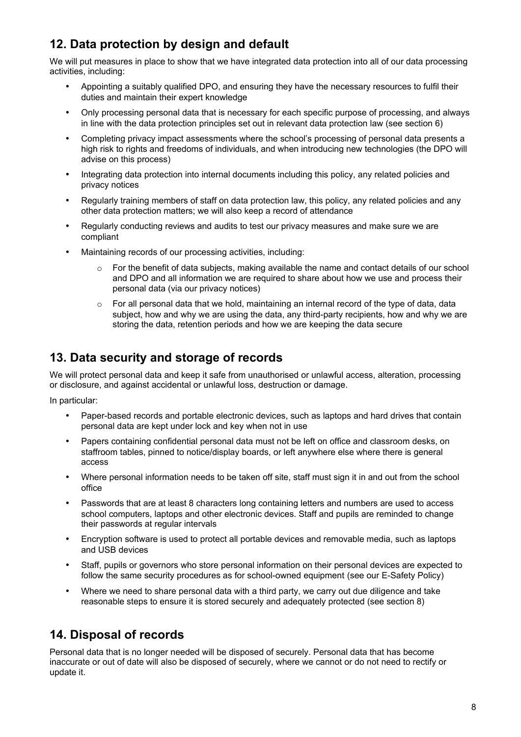# <span id="page-7-1"></span>**12. Data protection by design and default**

We will put measures in place to show that we have integrated data protection into all of our data processing activities, including:

- Appointing a suitably qualified DPO, and ensuring they have the necessary resources to fulfil their duties and maintain their expert knowledge
- Only processing personal data that is necessary for each specific purpose of processing, and always in line with the data protection principles set out in relevant data protection law (see section 6)
- Completing privacy impact assessments where the school's processing of personal data presents a high risk to rights and freedoms of individuals, and when introducing new technologies (the DPO will advise on this process)
- Integrating data protection into internal documents including this policy, any related policies and privacy notices
- Regularly training members of staff on data protection law, this policy, any related policies and any other data protection matters; we will also keep a record of attendance
- Regularly conducting reviews and audits to test our privacy measures and make sure we are compliant
- Maintaining records of our processing activities, including:
	- $\circ$  For the benefit of data subjects, making available the name and contact details of our school and DPO and all information we are required to share about how we use and process their personal data (via our privacy notices)
	- $\circ$  For all personal data that we hold, maintaining an internal record of the type of data, data subject, how and why we are using the data, any third-party recipients, how and why we are storing the data, retention periods and how we are keeping the data secure

# <span id="page-7-0"></span>**13. Data security and storage of records**

We will protect personal data and keep it safe from unauthorised or unlawful access, alteration, processing or disclosure, and against accidental or unlawful loss, destruction or damage.

In particular:

- Paper-based records and portable electronic devices, such as laptops and hard drives that contain personal data are kept under lock and key when not in use
- Papers containing confidential personal data must not be left on office and classroom desks, on staffroom tables, pinned to notice/display boards, or left anywhere else where there is general access
- Where personal information needs to be taken off site, staff must sign it in and out from the school office
- Passwords that are at least 8 characters long containing letters and numbers are used to access school computers, laptops and other electronic devices. Staff and pupils are reminded to change their passwords at regular intervals
- Encryption software is used to protect all portable devices and removable media, such as laptops and USB devices
- Staff, pupils or governors who store personal information on their personal devices are expected to follow the same security procedures as for school-owned equipment (see our E-Safety Policy)
- Where we need to share personal data with a third party, we carry out due diligence and take reasonable steps to ensure it is stored securely and adequately protected (see section 8)

# <span id="page-7-2"></span>**14. Disposal of records**

Personal data that is no longer needed will be disposed of securely. Personal data that has become inaccurate or out of date will also be disposed of securely, where we cannot or do not need to rectify or update it.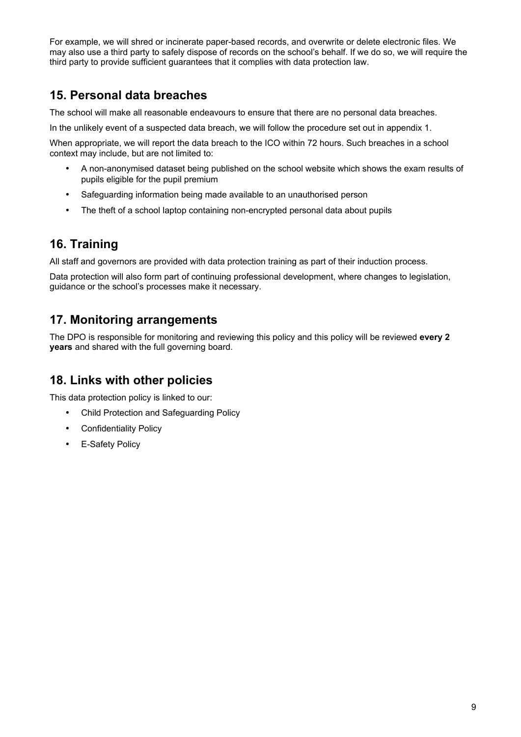For example, we will shred or incinerate paper-based records, and overwrite or delete electronic files. We may also use a third party to safely dispose of records on the school's behalf. If we do so, we will require the third party to provide sufficient guarantees that it complies with data protection law.

# <span id="page-8-3"></span>**15. Personal data breaches**

The school will make all reasonable endeavours to ensure that there are no personal data breaches.

In the unlikely event of a suspected data breach, we will follow the procedure set out in appendix 1.

When appropriate, we will report the data breach to the ICO within 72 hours. Such breaches in a school context may include, but are not limited to:

- A non-anonymised dataset being published on the school website which shows the exam results of pupils eligible for the pupil premium
- Safeguarding information being made available to an unauthorised person
- The theft of a school laptop containing non-encrypted personal data about pupils

# <span id="page-8-2"></span>**16. Training**

All staff and governors are provided with data protection training as part of their induction process.

Data protection will also form part of continuing professional development, where changes to legislation, guidance or the school's processes make it necessary.

## <span id="page-8-1"></span>**17. Monitoring arrangements**

The DPO is responsible for monitoring and reviewing this policy and this policy will be reviewed **every 2 years** and shared with the full governing board.

## <span id="page-8-0"></span>**18. Links with other policies**

This data protection policy is linked to our:

- Child Protection and Safeguarding Policy
- Confidentiality Policy
- E-Safety Policy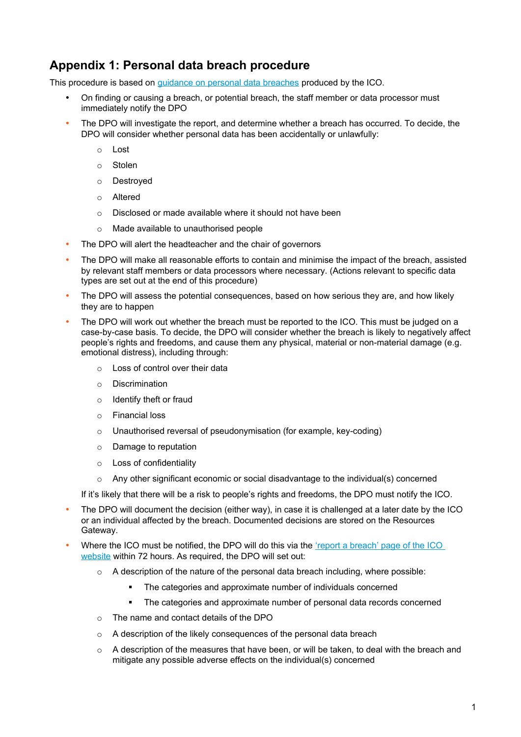# <span id="page-9-0"></span>**Appendix 1: Personal data breach procedure**

This procedure is based on [guidance on personal data breaches](https://ico.org.uk/for-organisations/guide-to-the-general-data-protection-regulation-gdpr/personal-data-breaches/) produced by the ICO.

- On finding or causing a breach, or potential breach, the staff member or data processor must immediately notify the DPO
- The DPO will investigate the report, and determine whether a breach has occurred. To decide, the DPO will consider whether personal data has been accidentally or unlawfully:
	- o Lost
	- o Stolen
	- o Destroyed
	- o Altered
	- o Disclosed or made available where it should not have been
	- o Made available to unauthorised people
- The DPO will alert the headteacher and the chair of governors
- The DPO will make all reasonable efforts to contain and minimise the impact of the breach, assisted by relevant staff members or data processors where necessary. (Actions relevant to specific data types are set out at the end of this procedure)
- The DPO will assess the potential consequences, based on how serious they are, and how likely they are to happen
- The DPO will work out whether the breach must be reported to the ICO. This must be judged on a case-by-case basis. To decide, the DPO will consider whether the breach is likely to negatively affect people's rights and freedoms, and cause them any physical, material or non-material damage (e.g. emotional distress), including through:
	- o Loss of control over their data
	- o Discrimination
	- o Identify theft or fraud
	- o Financial loss
	- o Unauthorised reversal of pseudonymisation (for example, key-coding)
	- o Damage to reputation
	- o Loss of confidentiality
	- $\circ$  Any other significant economic or social disadvantage to the individual(s) concerned

If it's likely that there will be a risk to people's rights and freedoms, the DPO must notify the ICO.

- The DPO will document the decision (either way), in case it is challenged at a later date by the ICO or an individual affected by the breach. Documented decisions are stored on the Resources Gateway.
- Where the ICO must be notified, the DPO will do this via the 'report a breach' page of the ICO [website](https://ico.org.uk/for-organisations/report-a-breach/) within 72 hours. As required, the DPO will set out:
	- $\circ$  A description of the nature of the personal data breach including, where possible:
		- The categories and approximate number of individuals concerned
		- The categories and approximate number of personal data records concerned
	- o The name and contact details of the DPO
	- o A description of the likely consequences of the personal data breach
	- $\circ$  A description of the measures that have been, or will be taken, to deal with the breach and mitigate any possible adverse effects on the individual(s) concerned